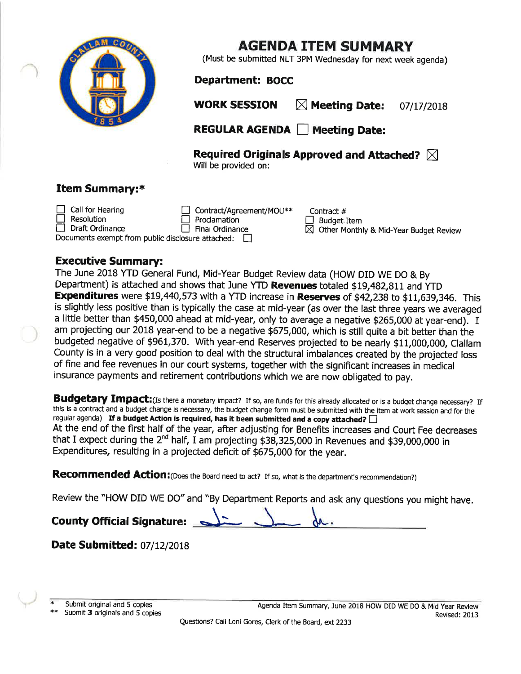

## AGENDA ITEM SUMMARY

(Must be submítted NLT 3PM Wednesday for next week agenda)

## Department: BOCC

WORK SESSION  $\boxtimes$  Meeting Date: 07/17/2018

REGULAR AGENDA | Meeting Date:

Required Originals Approved and Attached?  $\boxtimes$ Will be províded on:

## Item Summary:\*

Call for Hearing **Resolution** Draft Ordinance Contract/Agreement/MOU\*\* Contract #  $\not\equiv$ □ Proclamation<br>□ Final Ordinance Proclamation Documents exempt from public disclosure attached:  $\Box$ 

 $\Box$  Budget Item  $\boxtimes$  Other Monthly & Mid-Year Budget Review

## Executive Summary:

The June 2018 YTD General Fund, Mid-Year Budget Review data (HOW DID WE DO & By Department) is attached and shows that June YTD Revenues totaled \$19,482,811 and YTD Expenditures were \$19,440,573 with a YTD increase in Reserves of \$42,238 to \$11,639,346. This is slightly less positive than is typically the case at mid-year (as over the last three years we averaged a little better than \$450,000 ahead at mid-year, only to average a negative \$265,000 at year-end). I am projecting our 2018 year-end to be a negative \$675,000, which is still quite a bit better than the budgeted negative of \$961,370. With year-end Reserves projected to be nearly \$11,000,000, Clallam County is in a very good position to deal with the structural imbalances created by the projected loss of fine and fee revenues in our court systems, together with the significant íncreases in medical insurance payments and retirement contributions which we are now obligated to pay.

Budgetary Impact: (Is there a monetary impact? If so, are funds for this already allocated or is a budget change necessary? If this is a contract and a budget change is necessary, the budget change form must be submitted with the item at work session and for the regular agenda) If a budget Action is required, has it been submitted and a copy attached? At the end of the first half of the year, after adjusting for Benefits increases and Court Fee decreases that I expect during the 2<sup>nd</sup> half, I am projecting \$38,325,000 in Revenues and \$39,000,000 in Expenditures, resulting in a projected deficit of \$675,000 for the year.

Recommended Action: (Does the Board need to act? If so, what is the department's recommendation?)

Review the "HOW DID WE DO" and "By Department Reports and ask any questions you might have.<br> **County Official Signature:**  $\begin{matrix}\n\downarrow\n\end{matrix}$ 

**Date Submitted: 07/12/2018** 

Submit original and 5 copies<br>Submit 3 originals and 5 copies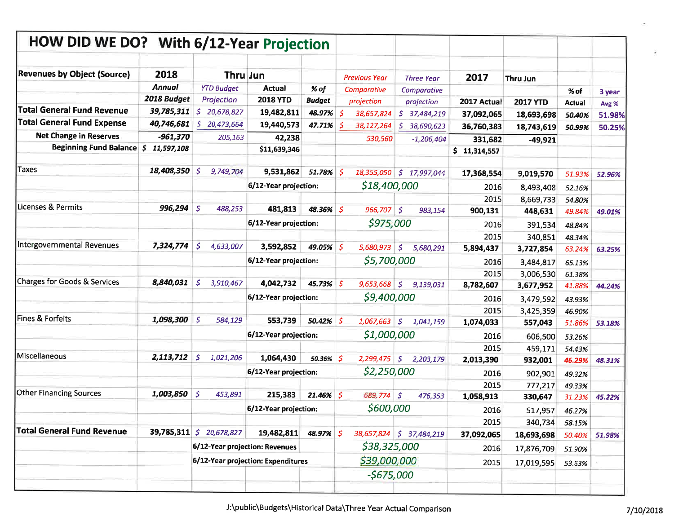| HOW DID WE DO? With 6/12-Year Projection |                  |                                                 |                                    |               |             |                      |                                   |              |                      |                  |        |
|------------------------------------------|------------------|-------------------------------------------------|------------------------------------|---------------|-------------|----------------------|-----------------------------------|--------------|----------------------|------------------|--------|
|                                          |                  |                                                 |                                    |               |             |                      |                                   |              |                      |                  |        |
| <b>Revenues by Object (Source)</b>       | 2018             |                                                 | Thru Jun                           |               |             | <b>Previous Year</b> | <b>Three Year</b>                 | 2017         | Thru Jun             |                  |        |
|                                          | <b>Annual</b>    | <b>YTD Budget</b>                               | <b>Actual</b>                      | % of          |             | Comparative          | Comparative                       |              |                      | % of             | 3 year |
|                                          | 2018 Budget      | Projection                                      | <b>2018 YTD</b>                    | <b>Budget</b> |             | projection           | projection                        | 2017 Actual  | <b>2017 YTD</b>      | <b>Actual</b>    | Avg %  |
| <b>Total General Fund Revenue</b>        | 39,785,311       | \$.<br>20,678,827                               | 19,482,811                         | 48.97%        | -S          | 38,657,824           | \$.<br>37,484,219                 | 37,092,065   | 18,693,698           | 50.40%           | 51.98% |
| <b>Total General Fund Expense</b>        | 40,746,681       | \$.<br>20,473,664                               | 19,440,573                         | 47.71%        | -S          | 38,127,264           | 38,690,623<br>S.                  | 36,760,383   | 18,743,619           | 50.99%           | 50.25% |
| <b>Net Change in Reserves</b>            | $-961,370$       | 205,163                                         | 42,238                             |               |             | 530,560              | $-1,206,404$                      | 331,682      | $-49,921$            |                  |        |
| <b>Beginning Fund Balance</b>            | \$<br>11,597,108 |                                                 | \$11,639,346                       |               |             |                      |                                   | \$11,314,557 |                      |                  |        |
| <b>Taxes</b>                             | 18,408,350       | 9,749,704<br>-S                                 | 9,531,862                          | 51.78% \$     |             |                      | 18,355,050 \$ 17,997,044          | 17,368,554   | 9,019,570            | 51.93%           | 52.96% |
|                                          |                  |                                                 | 6/12-Year projection:              |               |             | \$18,400,000         |                                   | 2016         | 8,493,408            |                  |        |
|                                          |                  |                                                 |                                    |               |             |                      |                                   | 2015         |                      | 52.16%           |        |
| Licenses & Permits                       | 996,294          | $\mathcal{S}$<br>488,253                        | 481,813                            | 48.36% \$     |             | 966,707              | S.<br>983,154                     | 900,131      | 8,669,733<br>448,631 | 54.80%<br>49.84% | 49.01% |
|                                          |                  |                                                 | 6/12-Year projection:              |               |             | \$975,000            |                                   |              |                      |                  |        |
|                                          |                  |                                                 |                                    |               |             |                      |                                   | 2016<br>2015 | 391,534              | 48.84%           |        |
| Intergovernmental Revenues               | 7,324,774        | $\mathcal{S}$<br>4,633,007                      | 3,592,852                          | 49.05% \$     |             | 5,680,973            | $\boldsymbol{\zeta}$<br>5,680,291 | 5,894,437    | 340,851<br>3,727,854 | 48.34%<br>63.24% | 63.25% |
|                                          |                  |                                                 | 6/12-Year projection:              |               |             | \$5,700,000          |                                   | 2016         | 3,484,817            | 65.13%           |        |
|                                          |                  |                                                 |                                    |               |             |                      |                                   | 2015         | 3,006,530            | 61.38%           |        |
| Charges for Goods & Services             | 8,840,031        | 'S<br>3,910,467                                 | 4,042,732                          | 45.73% \$     |             | 9,653,668            | S.<br>9,139,031                   | 8,782,607    | 3,677,952            | 41.88%           | 44.24% |
|                                          |                  |                                                 | 6/12-Year projection:              |               |             | \$9,400,000          |                                   | 2016         | 3,479,592            | 43.93%           |        |
|                                          |                  |                                                 |                                    |               |             |                      |                                   | 2015         | 3,425,359            | 46.90%           |        |
| Fines & Forfeits                         | 1,098,300        | $\sqrt{5}$<br>584,129                           | 553,739                            | $50.42\%$ \$  |             | 1,067,663            | S.<br>1,041,159                   | 1,074,033    | 557,043              | 51.86%           | 53.18% |
|                                          |                  |                                                 | 6/12-Year projection:              |               | \$1,000,000 |                      | 2016                              | 606,500      | 53.26%               |                  |        |
|                                          |                  |                                                 |                                    |               |             |                      |                                   | 2015         | 459,171              | 54.43%           |        |
| Miscellaneous                            | 2,113,712        | S.<br>1,021,206                                 | 1,064,430                          | 50.36%        |             | 2,299,475            | $\mathfrak{S}$<br>2,203,179       | 2,013,390    | 932,001              | 46.29%           | 48.31% |
|                                          |                  |                                                 | 6/12-Year projection:              |               |             | \$2,250,000          |                                   | 2016         | 902,901              | 49.32%           |        |
|                                          |                  |                                                 |                                    |               |             |                      |                                   | 2015         | 777,217              | 49.33%           |        |
| <b>Other Financing Sources</b>           | 1,003,850        | S.<br>453,891                                   | 215,383                            | $21.46\%$ \$  |             | 689,774              | $\mathcal{S}$<br>476,353          | 1,058,913    | 330,647              | 31.23%           | 45.22% |
|                                          |                  |                                                 | 6/12-Year projection:              |               |             | \$600,000            |                                   | 2016         | 517,957              | 46.27%           |        |
|                                          |                  |                                                 |                                    |               |             |                      |                                   | 2015         | 340,734              | 58.15%           |        |
| Total General Fund Revenue               |                  | <b>39,785,311</b> $\vert \sin 20.678,827 \vert$ | 19,482,811                         | 48.97% \$     |             |                      | 38,657,824 \$ 37,484,219          | 37,092,065   | 18,693,698           | 50.40%           | 51.98% |
|                                          |                  |                                                 | 6/12-Year projection: Revenues     |               |             | \$38,325,000         |                                   | 2016         | 17,876,709           | 51.90%           |        |
|                                          |                  |                                                 | 6/12-Year projection: Expenditures |               |             | \$39,000,000         |                                   | 2015         | 17,019,595           | 53.63%           |        |
|                                          |                  |                                                 |                                    |               |             | $-5675,000$          |                                   |              |                      |                  |        |
|                                          |                  |                                                 |                                    |               |             |                      |                                   |              |                      |                  |        |

¥.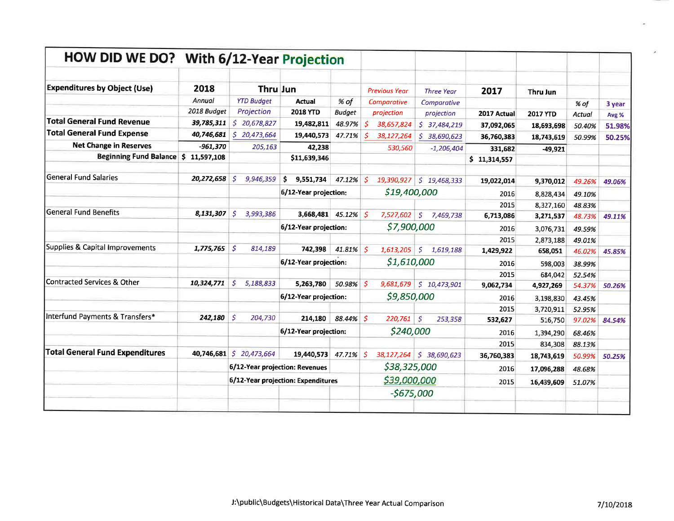| HOW DID WE DO? With 6/12-Year Projection |             |                                    |                       |               |    |                      |                           |              |                 |        |        |
|------------------------------------------|-------------|------------------------------------|-----------------------|---------------|----|----------------------|---------------------------|--------------|-----------------|--------|--------|
| <b>Expenditures by Object (Use)</b>      | 2018        | <b>Thru Jun</b>                    |                       |               |    | <b>Previous Year</b> | <b>Three Year</b>         | 2017         | Thru Jun        |        |        |
|                                          | Annual      | <b>YTD Budget</b>                  | <b>Actual</b>         | % of          |    | Comparative          | Comparative               |              |                 | % of   | 3 year |
|                                          | 2018 Budget | Projection                         | <b>2018 YTD</b>       | <b>Budget</b> |    | projection           | projection                | 2017 Actual  | <b>2017 YTD</b> | Actual | Avg %  |
| <b>Total General Fund Revenue</b>        | 39,785,311  | \$20,678,827                       | 19,482,811            | 48.97%        | Š. | 38,657,824           | \$37,484,219              | 37,092,065   | 18,693,698      | 50.40% | 51.98% |
| <b>Total General Fund Expense</b>        | 40,746,681  | \$20,473,664                       | 19,440,573            | 47.71%        | s. | 38,127,264           | S.<br>38,690,623          | 36,760,383   | 18,743,619      | 50.99% | 50.25% |
| <b>Net Change in Reserves</b>            | $-961,370$  | 205,163                            | 42,238                |               |    | 530,560              | $-1,206,404$              | 331,682      | $-49,921$       |        |        |
| Beginning Fund Balance \$ 11,597,108     |             |                                    | \$11,639,346          |               |    |                      |                           | \$11,314,557 |                 |        |        |
| lGeneral Fund Salaries                   | 20,272,658  | -S<br>9,946,359                    | s<br>9,551,734        | 47.12%        | S. | 19,390,927           | \$19,468,333              | 19,022,014   | 9,370,012       | 49.26% | 49.06% |
|                                          |             |                                    | 6/12-Year projection: |               |    | \$19,400,000         |                           | 2016         | 8,828,434       | 49.10% |        |
|                                          |             |                                    |                       |               |    |                      |                           | 2015         | 8,327,160       | 48.83% |        |
| General Fund Benefits                    | 8,131,307   | S.<br>3,993,386                    | 3,668,481 45.12% \$   |               |    | 7,527,602            | S.<br>7,469,738           | 6,713,086    | 3,271,537       | 48.73% | 49.11% |
|                                          |             |                                    | 6/12-Year projection: |               |    | \$7,900,000          |                           | 2016         | 3,076,731       | 49.59% |        |
|                                          |             |                                    |                       |               |    |                      |                           | 2015         | 2,873,188       | 49.01% |        |
| Supplies & Capital Improvements          | 1,775,765   | $\mathcal{S}$<br>814,189           | 742,398               | 41.81%        | S. | 1,613,205            | $\mathsf{S}$<br>1,619,188 | 1,429,922    | 658,051         | 46.02% | 45.85% |
|                                          |             |                                    | 6/12-Year projection: |               |    | \$1,610,000          |                           | 2016         | 598,003         | 38.99% |        |
|                                          |             |                                    |                       |               |    |                      |                           | 2015         | 684,042         | 52.54% |        |
| Contracted Services & Other              | 10,324,771  | Ŝ.<br>5,188,833                    | 5,263,780             | 50.98%        | 'S | 9,681,679            | \$10,473,901              | 9,062,734    | 4,927,269       | 54.37% | 50.26% |
|                                          |             |                                    | 6/12-Year projection: |               |    | \$9,850,000          |                           | 2016         | 3,198,830       | 43.45% |        |
|                                          |             |                                    |                       |               |    |                      |                           | 2015         | 3,720,911       | 52.95% |        |
| Interfund Payments & Transfers*          | 242,180     | S.<br>204,730                      | 214,180               | 88.44% \$     |    | 220,761              | -S<br>253,358             | 532,627      | 516,750         | 97.02% | 84.54% |
|                                          |             |                                    | 6/12-Year projection: |               |    | \$240,000            |                           | 2016         | 1,394,290       | 68.46% |        |
|                                          |             |                                    |                       |               |    |                      |                           | 2015         | 834,308         | 88.13% |        |
| <b>Total General Fund Expenditures</b>   | 40,746,681  | \$20,473,664                       | 19,440,573            | 47.71%        | s. | 38,127,264           | \$38,690,623              | 36,760,383   | 18,743,619      | 50.99% | 50.25% |
|                                          |             | 6/12-Year projection: Revenues     |                       |               |    | \$38,325,000         |                           | 2016         | 17,096,288      | 48.68% |        |
|                                          |             | 6/12-Year projection: Expenditures |                       |               |    | \$39,000,000         |                           | 2015         | 16,439,609      | 51.07% |        |
|                                          |             |                                    |                       |               |    | -\$675,000           |                           |              |                 |        |        |
|                                          |             |                                    |                       |               |    |                      |                           |              |                 |        |        |

 $\mathcal{L}_{\mathcal{I}}$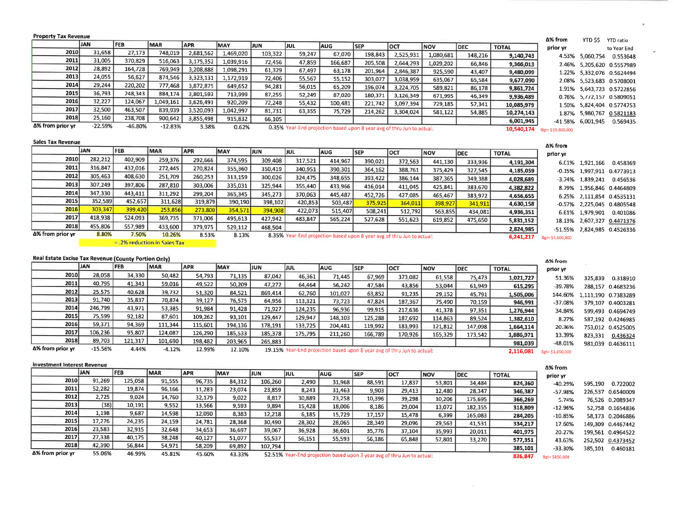| <b>Property Tax Revenue</b>                          | <b>JAN</b> | <b>FEB</b>                   | <b>MAR</b> | <b>APR</b> | MAY        | IJUN.   |         |            |            |                                                                        |            |             |              | Δ% from           | YTD \$\$        | <b>YTD</b> ratio            |
|------------------------------------------------------|------------|------------------------------|------------|------------|------------|---------|---------|------------|------------|------------------------------------------------------------------------|------------|-------------|--------------|-------------------|-----------------|-----------------------------|
| 2010                                                 | 31,658     | 27,173                       |            |            |            |         | JUL     | <b>AUG</b> | <b>SEP</b> | loct                                                                   | <b>NOV</b> | <b>DEC</b>  | <b>TOTAL</b> | prior yr          |                 | to Year End                 |
| 2011                                                 | 31,005     | 370,829                      | 748,019    | 2,681,562  | 1,469,020  | 103,322 | 59,247  | 67,070     | 198,843    | 2,525,931                                                              | 1.080.681  | 148,216     | 9,140,743    |                   | 4.53% 5,060,754 | 0.553648                    |
| 2012                                                 | 28,892     |                              | 516,063    | 3,175,352  | 1,039,916  | 72.456  | 47,859  | 166,687    | 205,508    | 2,644,293                                                              | 1,029,202  | 66,846      | 9,366,013    | 2.46%             |                 | 5,205,620 0.5557989         |
| 2013                                                 | 24,055     | 164,728                      | 769,949    | 3,208,888  | 1,098,291  | 61,329  | 67.497  | 63,178     | 201,964    | 2,846.387                                                              | 925,590    | 43,407      | 9,480,099    | 1.22%             |                 | 5,332,076 0.5624494         |
| 2014                                                 | 29,244     | 56.627                       | 874,546    | 3,323,131  | 1,172,919  | 72,406  | 55,567  | 55,152     | 303,077    | 3,038,959                                                              | 635,067    | 65,584      | 9,677,090    | 2.08%             |                 | 5,523,683 0.5708001         |
|                                                      |            | 220,202                      | 777,468    | 3,872,875  | 649,652    | 94,281  | 56.015  | 65,209     | 196,074    | 3,224,705                                                              | 589,821    | 86,178      | 9,861,724    | 1.91%             |                 | 5,643,723 0.5722856         |
| 2015                                                 | 36,793     | 248,343                      | 884,174    | 3,801,593  | 713,999    | 87,255  | 52,249  | 87.020     | 180,371    | 3,126,349                                                              | 671,995    | 46,349      | 9,936,489    | 0.76%             |                 | 5,772,157 0.5809051         |
| 2016                                                 | 32,227     | 124,067                      | 1,049,161  | 3,626,491  | 920,209    | 72,248  | 55,432  | 100,481    | 221,742    | 3,097,394                                                              | 729,185    | 57.341      | 10,085,979   |                   |                 | 1.50% 5,824,404 0.5774753   |
| 2017                                                 | 32,500     | 463,507                      | 839,939    | 3,520,093  | 1,042,997  | 81,731  | 63,355  | 75,729     | 214,262    | 3,304,024                                                              | 581.122    | 54,885      | 10,274,143   | 1.87%             |                 | 5,980,767 0.5821183         |
| 2018                                                 | 25,160     | 238,708                      | 900,642    | 3,855,498  | 915,832    | 66.105  |         |            |            |                                                                        |            |             | 6,001,945    | -41.58%           | 6,001,945       | 0.569435                    |
| Δ% from prior yr                                     | $-22.59%$  | $-46.80%$                    | $-12.83%$  | 3.38%      | 0.62%      |         |         |            |            | 0.35% Year-End projection based upon 8 year avg of thru Jun to actual: |            |             | 10,540,174   | Bgt= \$10,800,000 |                 |                             |
| <b>Sales Tax Revenue</b>                             |            |                              |            |            |            |         |         |            |            |                                                                        |            |             |              |                   |                 |                             |
|                                                      |            |                              |            |            |            |         |         |            |            |                                                                        |            |             |              | Δ% from           |                 |                             |
|                                                      | <b>JAN</b> | <b>FEB</b>                   | MAR        | <b>APR</b> | <b>MAY</b> | JUN     | IJUL    | laug.      | <b>SEP</b> | Іост                                                                   | NOV        | DEC         | <b>TOTAL</b> | prior yr          |                 |                             |
| 2010                                                 | 282,212    | 402,909                      | 259,376    | 292,666    | 374,595    | 309,408 | 317,521 | 414,967    | 390,021    | 372,563                                                                | 441,130    | 333,936     | 4,191,304    |                   | 6.01% 1,921,166 | 0.458369                    |
| 2011                                                 | 316.847    | 432.016                      | 272,445    | 270,824    | 355,360    | 350,419 | 340,951 | 390,301    | 364,162    | 388,761                                                                | 375,429    | 327,545     | 4,185,059    |                   |                 | -0.15% 1,997,911 0.4773913  |
| 2012                                                 | 305,463    | 408.630                      | 251,709    | 260,253    | 313,159    | 300.026 | 324,475 | 348.655    | 393,422    | 386.144                                                                | 387.365    | 349,388     | 4,028,689    | $-3.74%$          | 1,839,241       | 0.456536                    |
| 2013                                                 | 307,249    | 397,806                      | 287,810    | 303,006    | 335,031    | 325.944 | 355,440 | 433,966    | 416.014    | 411,045                                                                | 425,841    | 383,670     | 4,382,822    | 8.79%             |                 | 1,956,846 0.4464809         |
| 2014                                                 | 347,330    | 443,411                      | 311,292    | 299,204    | 365,345    | 345,273 | 370,063 | 445,487    | 452,726    | 427.085                                                                | 465.467    | 383,972     | 4,656,655    | 6.25%             |                 | 2,111,854 0.4535131         |
| 2015                                                 | 352,589    | 452,657                      | 311,628    | 319,879    | 390,190    | 398,102 | 420.853 | 503,487    | 375,925    | 364,011                                                                | 398,927    | 341,911     | 4,630,158    | $-0.57%$          |                 | 2,225,045 0.4805548         |
| 2016                                                 | 303,347    | 399,420                      | 253,856    | 273,800    | 354,571    | 394,908 | 422,073 | 515,407    | 508,241    | 512,792                                                                | 563,855    | 434,081     | 4,936,351    | 6.61%             | 1,979,901       | 0.401086                    |
| 2017                                                 | 418.938    | 524,093                      | 369,735    | 371,006    | 495,613    | 427,942 | 483,847 | 565,224    | 527,628    | 551,623                                                                | 619.852    | 475,650     | 5,831,152    |                   |                 | 18.13% 2,607,327 0.4471376  |
| 2018                                                 | 455,806    | 557,989                      | 433,600    | 379,975    | 529,112    | 468.504 |         |            |            |                                                                        |            |             | 2,824,985    |                   |                 | -51.55% 2,824,985 0.4526336 |
| Δ% from prior yr                                     | 8.80%      | 7.50%                        | 10.26%     | 8.53%      | 8.13%      |         |         |            |            | 8.35% Year-End projection based upon 8 year avg of thru Jun to actual: |            |             | 6,241,217    | Bgt=\$5,600,000   |                 |                             |
|                                                      |            | = .2% reduction in Sales Tax |            |            |            |         |         |            |            |                                                                        |            |             |              |                   |                 |                             |
|                                                      |            |                              |            |            |            |         |         |            |            |                                                                        |            |             |              |                   |                 |                             |
| Real Estate Excise Tax Revenue (County Portion Only) |            |                              |            |            |            |         |         |            |            |                                                                        |            |             |              | Δ% from           |                 |                             |
|                                                      | <b>JAN</b> | <b>IFEB</b>                  | <b>MAR</b> | APR        | <b>MAY</b> | liun.   | ljul    | laug       | <b>SEP</b> | loct                                                                   | <b>NOV</b> | <b>IDEC</b> | <b>TOTAL</b> | prior vr          |                 |                             |

统

 $\overline{\phantom{a}}$ 

|                  | <b>UMIV</b> | rco     | IMAR.    | IAPK.   | <b>IMAY</b> | IJUN    | IJUL    | <b>IAUG</b> | ISEP                                                                    | וספו    | <b>INOV</b> | <b>IDEC</b> | <b>TOTAL</b> | prior yr         |                             |
|------------------|-------------|---------|----------|---------|-------------|---------|---------|-------------|-------------------------------------------------------------------------|---------|-------------|-------------|--------------|------------------|-----------------------------|
| 2010             | 28,058      | 34,330  | 50.482   | 54,793  | 71,135      | 87.042  | 46,361  | 71,445      | 67,969                                                                  | 373,082 | 61,558      | 75,473      | 1,021,727    | 51.36%           | 325,839 0.318910            |
| 2011             | 40,795      | 41,343  | 59,016   | 49,522  | 50,209      | 47,272  | 64,464  | 56,242      | 47.584                                                                  | 43.856  | 53,044      | 61,949      | 615.295      | $-39.78%$        | 288,157 0.4683236           |
| 2012             | 25,575      | 40.628  | 39,732   | 51,320  | 84,521      | 869,414 | 62,760  | 101.027     | 63,852                                                                  | 91,235  | 29,152      | 45,791      | 1,505,006    |                  | 144.60% 1,111,190 0.7383289 |
| 2013             | 91,740      | 35,837  | 70,874   | 39,127  | 76,575      | 64,956  | 113,321 | 73,723      | 47.824                                                                  | 187,367 | 75,490      | 70,159      | 946,991      | $-37.08%$        | 379,107 0.4003281           |
| 2014             | 246,799     | 43,971  | 53,385   | 91,984  | 91,428      | 71,927  | 124,235 | 96,936      | 99,915                                                                  | 217,636 | 41,378      | 97,351      | 1,276,944    | 34.84%           | 599,493 0.4694749           |
| 2015             | 75,599      | 92.182  | 87,601   | 109.262 | 93.101      | 129,447 | 129,947 | 148.103     | 125,288                                                                 | 187,692 | 114.863     | 89,524      | 1,382,610    | 8.27%            | 587.192 0.4246985           |
| 2016             | 59,371      | 94.369  | 111,344  | 115,601 | 194,136     | 178.191 | 133,725 | 204,481     | 119,992                                                                 | 183,993 | 121.812     | 147,098     | 1,664,114    | 20.36%           | 753,012 0.4525005           |
| 2017             | 106,236     | 95,807  | 124,087  | 126,290 | 185,533     | 185,378 | 175.795 | 211,260     | 166,789                                                                 | 170,926 | 165,329     | 173,542     | 1,886,971    | 13.39%           | 823,331<br>0.436324         |
| 2018             | 89,703      | 121,317 | 101.690  | 198,482 | 203,965     | 265,883 |         |             |                                                                         |         |             |             | 981,039      | $-48.01%$        | 981,039 0.4636111           |
| Δ% from prior yr | $-15.56%$   | 4.44%   | $-4.12%$ | 12.99%  | 12.10%      |         |         |             | 19.15% Year-End projection based upon 8 year avg of thru Jun to actual: |         |             |             | 2,116,081    | Bgt= \$1,650,000 |                             |

|                  | <b>JAN</b> | <b>IFEB</b> | <b>IMAR</b> | <b>JAPR</b> | <b>MAY</b> | <b>JUN</b> | JJUL   | laug.  | <b>ISEP</b> | loct                                                                    | INOV   | <b>IDEC</b> | <b>TOTAL</b> | Δ% from        |                   |                  |
|------------------|------------|-------------|-------------|-------------|------------|------------|--------|--------|-------------|-------------------------------------------------------------------------|--------|-------------|--------------|----------------|-------------------|------------------|
| 2010             | 91,269     | 125,058     | 91,555      | 96,735      | 84,312     | 106,260    |        |        |             |                                                                         |        |             |              | prior yr       |                   |                  |
|                  |            |             |             |             |            |            | 2,490  | 31,968 | 88,591      | 17,837                                                                  | 53,801 | 34,484      | 824.360      | -40.29%        | 595,190           | 0.722002         |
| 2011             | 52,282     | 19.874      | 96.166      | 11,283      | 23,074     | 23,859     | 8,243  | 31,463 | 9,903       | 29,413                                                                  | 12,480 | 28.347      | 346,387      | $-57.98%$      | 226,537 0.6540009 |                  |
| 2012             | 2.725      | 9,024       | 14.760      | 32.179      | 9,022      | 8,817      | 30,889 | 23,258 | 10,396      | 39,298                                                                  | 10,206 | 175,695     | 366.269      | 5.74%          |                   | 76,526 0.2089347 |
| 2013             | (38)       | 10,191      | 9,552       | 13,566      | 9,593      | 9,894      | 15,428 | 18,006 | 8,186       | 29,004                                                                  | 13,072 | 182,355     | 318,809      | $-12.96%$      |                   | 52.758 0.1654836 |
| 2014             | 1,198      | 9,687       | 14,598      | 12,090      | 8,383      | 12,218     | 6.185  | 15,729 | 17,157      | 15,478                                                                  | 6,399  | 165,083     | 284,205      | $-10.85%$      |                   | 58,173 0.2046886 |
| 2015             | 17,276     | 24,235      | 24,159      | 24,781      | 28,368     | 30,490     | 28,302 | 28,065 | 28,349      | 29,096                                                                  | 29,563 | 41,531      | 334,217      | 17.60%         | 149,309 0.4467442 |                  |
| 2016             | 23,583     | 32,915      | 32,648      | 34,653      | 36,697     | 39,067     | 36,928 | 36,601 | 35,776      | 37,104                                                                  | 35,993 | 20,011      | 401,975      | 20.27%         | 199.561 0.4964522 |                  |
| 2017             | 27,338     | 40.175      | 38,248      | 40.127      | 51,077     | 55.537     | 56,151 | 55,593 | 56,186      | 65,848                                                                  | 57,801 | 33,270      | 577,351      | 43.63%         | 252,502 0.4373452 |                  |
| 2018             | 42,390     | 56,844      | 54,971      | 58,209      | 69,892     | 102,794    |        |        |             |                                                                         |        |             | 385,101      | $-33.30%$      | 385,101           | 0.460181         |
| Δ% from prior yr | 55.06%     | 46.99%      | 45.81%      | 45.60%      | 43.33%     |            |        |        |             | 52.51% Year-End projection based upon 3 year avg of thru Jun to actual: |        |             | 836,847      | Bgt= \$850,000 |                   |                  |